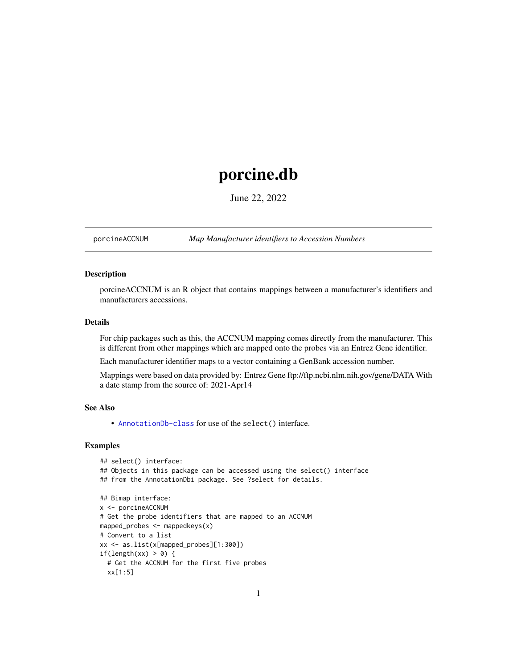## <span id="page-0-1"></span>porcine.db

June 22, 2022

<span id="page-0-0"></span>porcineACCNUM *Map Manufacturer identifiers to Accession Numbers*

## **Description**

porcineACCNUM is an R object that contains mappings between a manufacturer's identifiers and manufacturers accessions.

## Details

For chip packages such as this, the ACCNUM mapping comes directly from the manufacturer. This is different from other mappings which are mapped onto the probes via an Entrez Gene identifier.

Each manufacturer identifier maps to a vector containing a GenBank accession number.

Mappings were based on data provided by: Entrez Gene ftp://ftp.ncbi.nlm.nih.gov/gene/DATA With a date stamp from the source of: 2021-Apr14

## See Also

• AnnotationDb-class for use of the select() interface.

```
## select() interface:
## Objects in this package can be accessed using the select() interface
## from the AnnotationDbi package. See ?select for details.
## Bimap interface:
x <- porcineACCNUM
# Get the probe identifiers that are mapped to an ACCNUM
mapped_probes <- mappedkeys(x)
# Convert to a list
xx <- as.list(x[mapped_probes][1:300])
if(length(xx) > 0) {
 # Get the ACCNUM for the first five probes
 xx[1:5]
```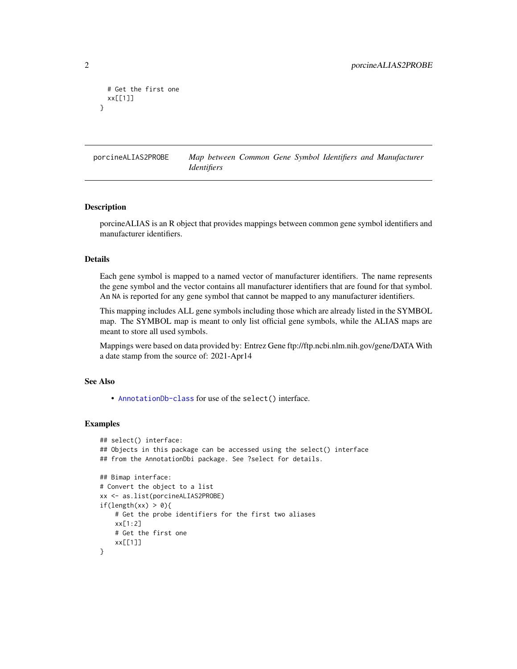```
# Get the first one
 xx[[1]]
}
```
porcineALIAS2PROBE *Map between Common Gene Symbol Identifiers and Manufacturer Identifiers*

#### Description

porcineALIAS is an R object that provides mappings between common gene symbol identifiers and manufacturer identifiers.

### Details

Each gene symbol is mapped to a named vector of manufacturer identifiers. The name represents the gene symbol and the vector contains all manufacturer identifiers that are found for that symbol. An NA is reported for any gene symbol that cannot be mapped to any manufacturer identifiers.

This mapping includes ALL gene symbols including those which are already listed in the SYMBOL map. The SYMBOL map is meant to only list official gene symbols, while the ALIAS maps are meant to store all used symbols.

Mappings were based on data provided by: Entrez Gene ftp://ftp.ncbi.nlm.nih.gov/gene/DATA With a date stamp from the source of: 2021-Apr14

## See Also

• [AnnotationDb-class](#page-0-0) for use of the select() interface.

```
## select() interface:
## Objects in this package can be accessed using the select() interface
## from the AnnotationDbi package. See ?select for details.
## Bimap interface:
# Convert the object to a list
xx <- as.list(porcineALIAS2PROBE)
if(length(xx) > 0){
    # Get the probe identifiers for the first two aliases
   xx[1:2]
   # Get the first one
   xx[[1]]
}
```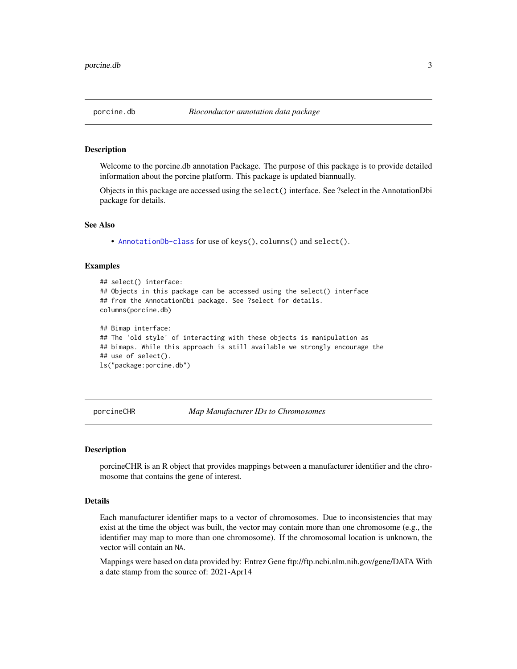<span id="page-2-0"></span>

#### Description

Welcome to the porcine.db annotation Package. The purpose of this package is to provide detailed information about the porcine platform. This package is updated biannually.

Objects in this package are accessed using the select() interface. See ?select in the AnnotationDbi package for details.

#### See Also

• [AnnotationDb-class](#page-0-0) for use of keys(), columns() and select().

#### Examples

```
## select() interface:
## Objects in this package can be accessed using the select() interface
## from the AnnotationDbi package. See ?select for details.
columns(porcine.db)
## Bimap interface:
## The 'old style' of interacting with these objects is manipulation as
## bimaps. While this approach is still available we strongly encourage the
## use of select().
ls("package:porcine.db")
```
porcineCHR *Map Manufacturer IDs to Chromosomes*

#### **Description**

porcineCHR is an R object that provides mappings between a manufacturer identifier and the chromosome that contains the gene of interest.

### Details

Each manufacturer identifier maps to a vector of chromosomes. Due to inconsistencies that may exist at the time the object was built, the vector may contain more than one chromosome (e.g., the identifier may map to more than one chromosome). If the chromosomal location is unknown, the vector will contain an NA.

Mappings were based on data provided by: Entrez Gene ftp://ftp.ncbi.nlm.nih.gov/gene/DATA With a date stamp from the source of: 2021-Apr14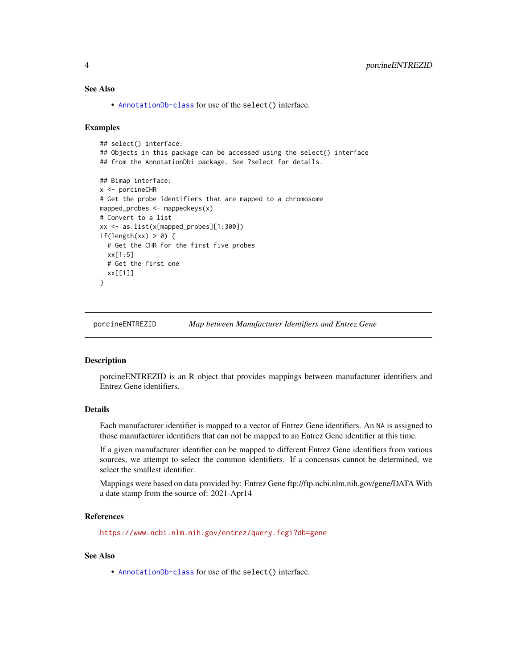## <span id="page-3-0"></span>See Also

• [AnnotationDb-class](#page-0-0) for use of the select() interface.

#### Examples

```
## select() interface:
## Objects in this package can be accessed using the select() interface
## from the AnnotationDbi package. See ?select for details.
## Bimap interface:
x <- porcineCHR
# Get the probe identifiers that are mapped to a chromosome
mapped_probes <- mappedkeys(x)
# Convert to a list
xx <- as.list(x[mapped_probes][1:300])
if(length(xx) > 0) {
 # Get the CHR for the first five probes
 xx[1:5]
 # Get the first one
 xx[[1]]
}
```
porcineENTREZID *Map between Manufacturer Identifiers and Entrez Gene*

#### **Description**

porcineENTREZID is an R object that provides mappings between manufacturer identifiers and Entrez Gene identifiers.

## Details

Each manufacturer identifier is mapped to a vector of Entrez Gene identifiers. An NA is assigned to those manufacturer identifiers that can not be mapped to an Entrez Gene identifier at this time.

If a given manufacturer identifier can be mapped to different Entrez Gene identifiers from various sources, we attempt to select the common identifiers. If a concensus cannot be determined, we select the smallest identifier.

Mappings were based on data provided by: Entrez Gene ftp://ftp.ncbi.nlm.nih.gov/gene/DATA With a date stamp from the source of: 2021-Apr14

#### References

<https://www.ncbi.nlm.nih.gov/entrez/query.fcgi?db=gene>

#### See Also

• [AnnotationDb-class](#page-0-0) for use of the select() interface.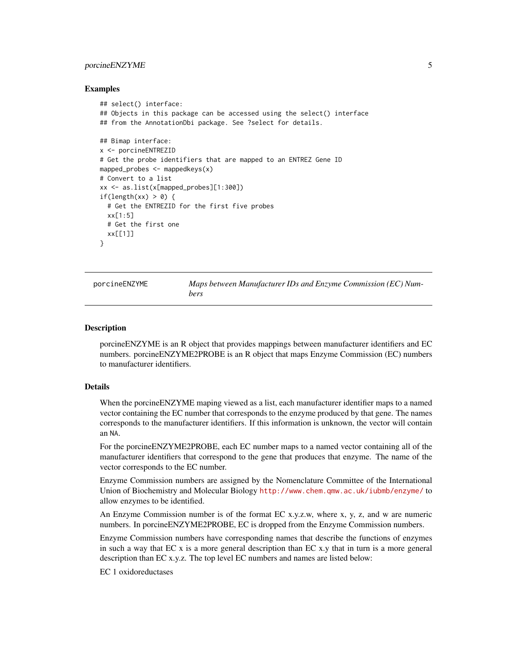## <span id="page-4-0"></span>porcineENZYME 5

#### Examples

```
## select() interface:
## Objects in this package can be accessed using the select() interface
## from the AnnotationDbi package. See ?select for details.
## Bimap interface:
x <- porcineENTREZID
# Get the probe identifiers that are mapped to an ENTREZ Gene ID
mapped_probes <- mappedkeys(x)
# Convert to a list
xx <- as.list(x[mapped_probes][1:300])
if(length(xx) > 0) {
 # Get the ENTREZID for the first five probes
 xx[1:5]# Get the first one
 xx[[1]]
}
```
porcineENZYME *Maps between Manufacturer IDs and Enzyme Commission (EC) Numbers*

#### **Description**

porcineENZYME is an R object that provides mappings between manufacturer identifiers and EC numbers. porcineENZYME2PROBE is an R object that maps Enzyme Commission (EC) numbers to manufacturer identifiers.

#### Details

When the porcineENZYME maping viewed as a list, each manufacturer identifier maps to a named vector containing the EC number that corresponds to the enzyme produced by that gene. The names corresponds to the manufacturer identifiers. If this information is unknown, the vector will contain an NA.

For the porcineENZYME2PROBE, each EC number maps to a named vector containing all of the manufacturer identifiers that correspond to the gene that produces that enzyme. The name of the vector corresponds to the EC number.

Enzyme Commission numbers are assigned by the Nomenclature Committee of the International Union of Biochemistry and Molecular Biology <http://www.chem.qmw.ac.uk/iubmb/enzyme/> to allow enzymes to be identified.

An Enzyme Commission number is of the format EC x.y.z.w, where x, y, z, and w are numeric numbers. In porcineENZYME2PROBE, EC is dropped from the Enzyme Commission numbers.

Enzyme Commission numbers have corresponding names that describe the functions of enzymes in such a way that EC x is a more general description than EC x.y that in turn is a more general description than EC x.y.z. The top level EC numbers and names are listed below:

EC 1 oxidoreductases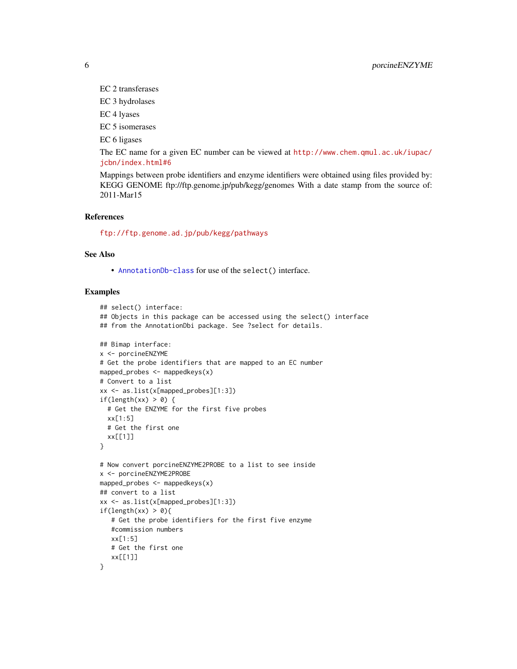EC 2 transferases

EC 3 hydrolases

EC 4 lyases

EC 5 isomerases

EC 6 ligases

The EC name for a given EC number can be viewed at [http://www.chem.qmul.ac.uk/iupac/](http://www.chem.qmul.ac.uk/iupac/jcbn/index.html#6) [jcbn/index.html#6](http://www.chem.qmul.ac.uk/iupac/jcbn/index.html#6)

Mappings between probe identifiers and enzyme identifiers were obtained using files provided by: KEGG GENOME ftp://ftp.genome.jp/pub/kegg/genomes With a date stamp from the source of: 2011-Mar15

#### References

<ftp://ftp.genome.ad.jp/pub/kegg/pathways>

#### See Also

• [AnnotationDb-class](#page-0-0) for use of the select() interface.

```
## select() interface:
## Objects in this package can be accessed using the select() interface
## from the AnnotationDbi package. See ?select for details.
## Bimap interface:
x <- porcineENZYME
# Get the probe identifiers that are mapped to an EC number
mapped_probes <- mappedkeys(x)
# Convert to a list
xx <- as.list(x[mapped_probes][1:3])
if(length(xx) > 0) {
  # Get the ENZYME for the first five probes
  xx[1:5]
  # Get the first one
  xx[[1]]
}
# Now convert porcineENZYME2PROBE to a list to see inside
x <- porcineENZYME2PROBE
mapped_probes <- mappedkeys(x)
## convert to a list
xx <- as.list(x[mapped_probes][1:3])
if(length(xx) > 0){
   # Get the probe identifiers for the first five enzyme
   #commission numbers
   xx[1:5]
   # Get the first one
   xx[[1]]
}
```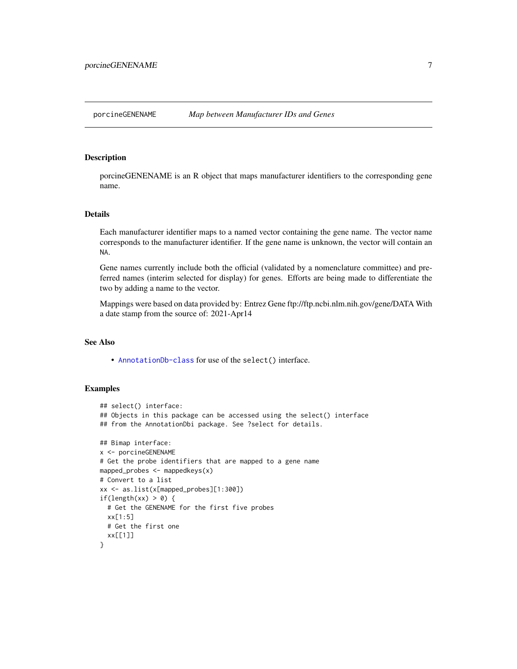## <span id="page-6-0"></span>Description

porcineGENENAME is an R object that maps manufacturer identifiers to the corresponding gene name.

## Details

Each manufacturer identifier maps to a named vector containing the gene name. The vector name corresponds to the manufacturer identifier. If the gene name is unknown, the vector will contain an NA.

Gene names currently include both the official (validated by a nomenclature committee) and preferred names (interim selected for display) for genes. Efforts are being made to differentiate the two by adding a name to the vector.

Mappings were based on data provided by: Entrez Gene ftp://ftp.ncbi.nlm.nih.gov/gene/DATA With a date stamp from the source of: 2021-Apr14

## See Also

• [AnnotationDb-class](#page-0-0) for use of the select() interface.

```
## select() interface:
## Objects in this package can be accessed using the select() interface
## from the AnnotationDbi package. See ?select for details.
## Bimap interface:
x <- porcineGENENAME
# Get the probe identifiers that are mapped to a gene name
mapped_probes <- mappedkeys(x)
# Convert to a list
xx <- as.list(x[mapped_probes][1:300])
if(length(xx) > 0) {
  # Get the GENENAME for the first five probes
  xx[1:5]
  # Get the first one
  xx[[1]]
}
```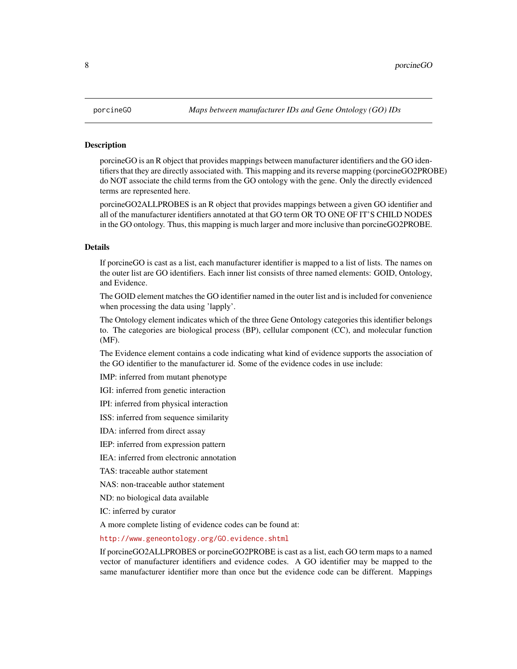#### <span id="page-7-0"></span>**Description**

porcineGO is an R object that provides mappings between manufacturer identifiers and the GO identifiers that they are directly associated with. This mapping and its reverse mapping (porcineGO2PROBE) do NOT associate the child terms from the GO ontology with the gene. Only the directly evidenced terms are represented here.

porcineGO2ALLPROBES is an R object that provides mappings between a given GO identifier and all of the manufacturer identifiers annotated at that GO term OR TO ONE OF IT'S CHILD NODES in the GO ontology. Thus, this mapping is much larger and more inclusive than porcineGO2PROBE.

#### Details

If porcineGO is cast as a list, each manufacturer identifier is mapped to a list of lists. The names on the outer list are GO identifiers. Each inner list consists of three named elements: GOID, Ontology, and Evidence.

The GOID element matches the GO identifier named in the outer list and is included for convenience when processing the data using 'lapply'.

The Ontology element indicates which of the three Gene Ontology categories this identifier belongs to. The categories are biological process (BP), cellular component (CC), and molecular function (MF).

The Evidence element contains a code indicating what kind of evidence supports the association of the GO identifier to the manufacturer id. Some of the evidence codes in use include:

IMP: inferred from mutant phenotype

IGI: inferred from genetic interaction

IPI: inferred from physical interaction

ISS: inferred from sequence similarity

IDA: inferred from direct assay

IEP: inferred from expression pattern

IEA: inferred from electronic annotation

TAS: traceable author statement

NAS: non-traceable author statement

ND: no biological data available

IC: inferred by curator

A more complete listing of evidence codes can be found at:

<http://www.geneontology.org/GO.evidence.shtml>

If porcineGO2ALLPROBES or porcineGO2PROBE is cast as a list, each GO term maps to a named vector of manufacturer identifiers and evidence codes. A GO identifier may be mapped to the same manufacturer identifier more than once but the evidence code can be different. Mappings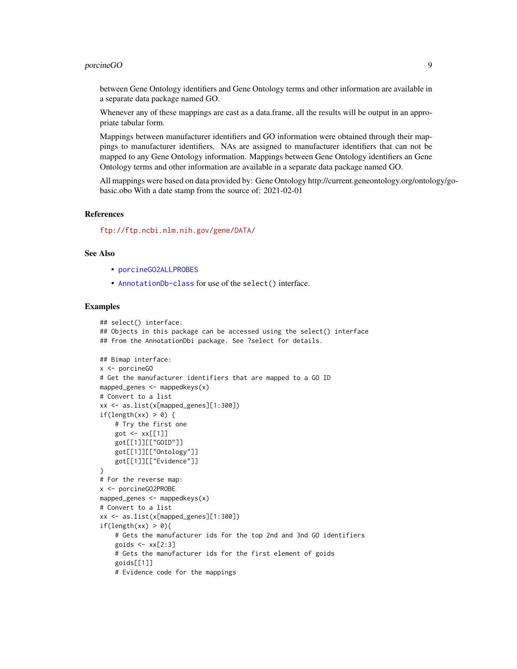#### <span id="page-8-0"></span>porcineGO 99

between Gene Ontology identifiers and Gene Ontology terms and other information are available in a separate data package named GO.

Whenever any of these mappings are cast as a data.frame, all the results will be output in an appropriate tabular form.

Mappings between manufacturer identifiers and GO information were obtained through their mappings to manufacturer identifiers. NAs are assigned to manufacturer identifiers that can not be mapped to any Gene Ontology information. Mappings between Gene Ontology identifiers an Gene Ontology terms and other information are available in a separate data package named GO.

All mappings were based on data provided by: Gene Ontology http://current.geneontology.org/ontology/gobasic.obo With a date stamp from the source of: 2021-02-01

#### References

<ftp://ftp.ncbi.nlm.nih.gov/gene/DATA/>

#### See Also

- [porcineGO2ALLPROBES](#page-7-0)
- [AnnotationDb-class](#page-0-0) for use of the select() interface.

```
## select() interface:
## Objects in this package can be accessed using the select() interface
## from the AnnotationDbi package. See ?select for details.
## Bimap interface:
x <- porcineGO
# Get the manufacturer identifiers that are mapped to a GO ID
mapped_genes \leq mappedkeys(x)
# Convert to a list
xx <- as.list(x[mapped_genes][1:300])
if(length(xx) > 0) {
    # Try the first one
   got \leq -xx[[1]]got[[1]][["GOID"]]
    got[[1]][["Ontology"]]
    got[[1]][["Evidence"]]
}
# For the reverse map:
x <- porcineGO2PROBE
mapped_genes <- mappedkeys(x)
# Convert to a list
xx <- as.list(x[mapped_genes][1:300])
if(length(xx) > 0){
    # Gets the manufacturer ids for the top 2nd and 3nd GO identifiers
    goids \leq xx[2:3]# Gets the manufacturer ids for the first element of goids
    goids[[1]]
    # Evidence code for the mappings
```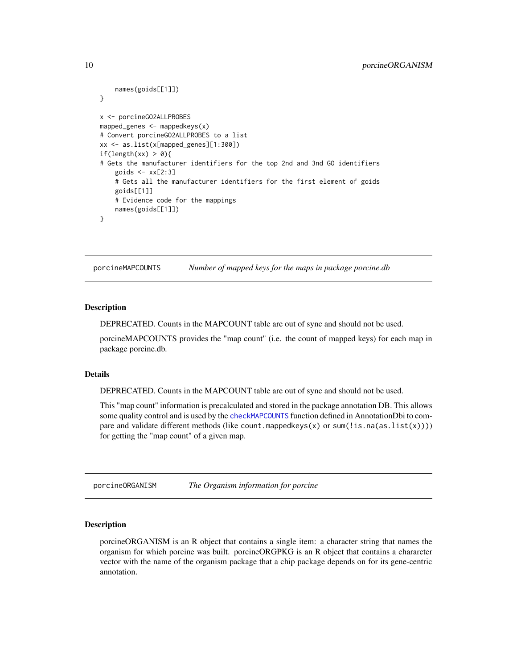```
names(goids[[1]])
}
x <- porcineGO2ALLPROBES
mapped_genes <- mappedkeys(x)
# Convert porcineGO2ALLPROBES to a list
xx <- as.list(x[mapped_genes][1:300])
if(length(xx) > 0){
# Gets the manufacturer identifiers for the top 2nd and 3nd GO identifiers
    goids \leq -x \times [2:3]# Gets all the manufacturer identifiers for the first element of goids
    goids[[1]]
    # Evidence code for the mappings
    names(goids[[1]])
}
```
porcineMAPCOUNTS *Number of mapped keys for the maps in package porcine.db*

#### Description

DEPRECATED. Counts in the MAPCOUNT table are out of sync and should not be used.

porcineMAPCOUNTS provides the "map count" (i.e. the count of mapped keys) for each map in package porcine.db.

#### Details

DEPRECATED. Counts in the MAPCOUNT table are out of sync and should not be used.

This "map count" information is precalculated and stored in the package annotation DB. This allows some quality control and is used by the [checkMAPCOUNTS](#page-0-0) function defined in AnnotationDbi to compare and validate different methods (like count.mappedkeys(x) or sum(!is.na(as.list(x)))) for getting the "map count" of a given map.

porcineORGANISM *The Organism information for porcine*

## **Description**

porcineORGANISM is an R object that contains a single item: a character string that names the organism for which porcine was built. porcineORGPKG is an R object that contains a chararcter vector with the name of the organism package that a chip package depends on for its gene-centric annotation.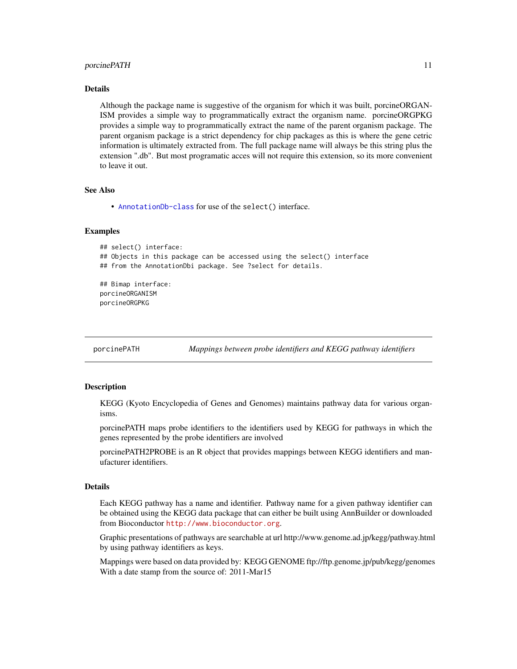#### <span id="page-10-0"></span>porcinePATH 11

#### Details

Although the package name is suggestive of the organism for which it was built, porcineORGAN-ISM provides a simple way to programmatically extract the organism name. porcineORGPKG provides a simple way to programmatically extract the name of the parent organism package. The parent organism package is a strict dependency for chip packages as this is where the gene cetric information is ultimately extracted from. The full package name will always be this string plus the extension ".db". But most programatic acces will not require this extension, so its more convenient to leave it out.

## See Also

• [AnnotationDb-class](#page-0-0) for use of the select() interface.

#### Examples

```
## select() interface:
## Objects in this package can be accessed using the select() interface
## from the AnnotationDbi package. See ?select for details.
## Bimap interface:
porcineORGANISM
porcineORGPKG
```
porcinePATH *Mappings between probe identifiers and KEGG pathway identifiers*

#### **Description**

KEGG (Kyoto Encyclopedia of Genes and Genomes) maintains pathway data for various organisms.

porcinePATH maps probe identifiers to the identifiers used by KEGG for pathways in which the genes represented by the probe identifiers are involved

porcinePATH2PROBE is an R object that provides mappings between KEGG identifiers and manufacturer identifiers.

#### Details

Each KEGG pathway has a name and identifier. Pathway name for a given pathway identifier can be obtained using the KEGG data package that can either be built using AnnBuilder or downloaded from Bioconductor <http://www.bioconductor.org>.

Graphic presentations of pathways are searchable at url http://www.genome.ad.jp/kegg/pathway.html by using pathway identifiers as keys.

Mappings were based on data provided by: KEGG GENOME ftp://ftp.genome.jp/pub/kegg/genomes With a date stamp from the source of: 2011-Mar15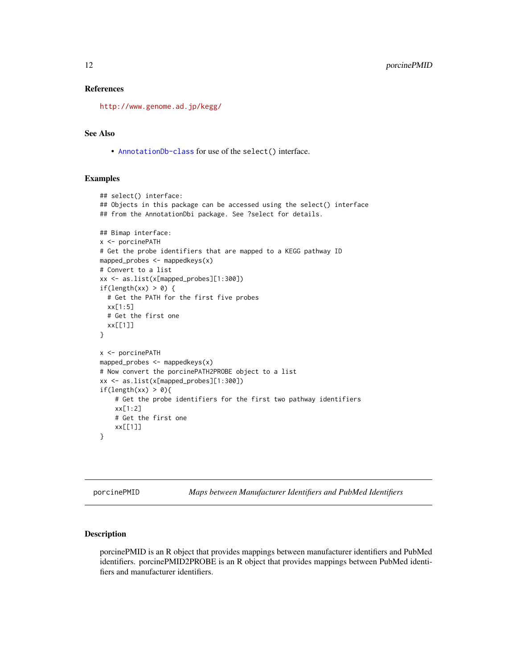#### <span id="page-11-0"></span>References

<http://www.genome.ad.jp/kegg/>

#### See Also

• [AnnotationDb-class](#page-0-0) for use of the select() interface.

#### Examples

```
## select() interface:
## Objects in this package can be accessed using the select() interface
## from the AnnotationDbi package. See ?select for details.
## Bimap interface:
x <- porcinePATH
# Get the probe identifiers that are mapped to a KEGG pathway ID
mapped_probes <- mappedkeys(x)
# Convert to a list
xx <- as.list(x[mapped_probes][1:300])
if(length(xx) > 0) {
  # Get the PATH for the first five probes
  xx[1:5]
  # Get the first one
  xx[[1]]
}
x <- porcinePATH
mapped_probes <- mappedkeys(x)
# Now convert the porcinePATH2PROBE object to a list
xx <- as.list(x[mapped_probes][1:300])
if(length(xx) > 0){
    # Get the probe identifiers for the first two pathway identifiers
    xx[1:2]
    # Get the first one
    xx[[1]]
}
```
porcinePMID *Maps between Manufacturer Identifiers and PubMed Identifiers*

#### Description

porcinePMID is an R object that provides mappings between manufacturer identifiers and PubMed identifiers. porcinePMID2PROBE is an R object that provides mappings between PubMed identifiers and manufacturer identifiers.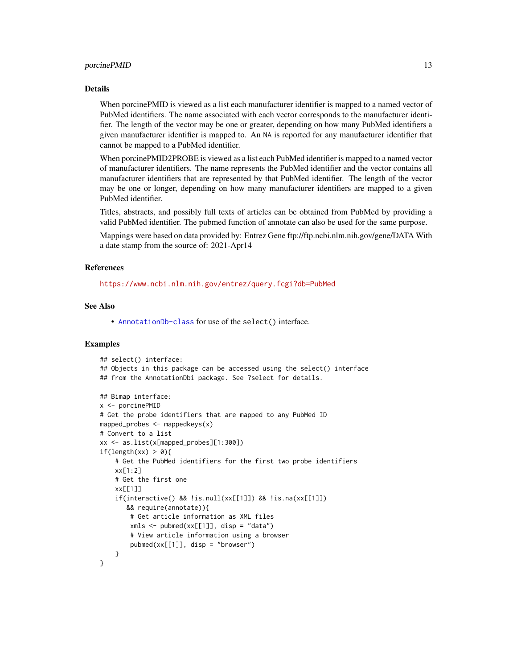#### porcinePMID 13

#### Details

When porcinePMID is viewed as a list each manufacturer identifier is mapped to a named vector of PubMed identifiers. The name associated with each vector corresponds to the manufacturer identifier. The length of the vector may be one or greater, depending on how many PubMed identifiers a given manufacturer identifier is mapped to. An NA is reported for any manufacturer identifier that cannot be mapped to a PubMed identifier.

When porcinePMID2PROBE is viewed as a list each PubMed identifier is mapped to a named vector of manufacturer identifiers. The name represents the PubMed identifier and the vector contains all manufacturer identifiers that are represented by that PubMed identifier. The length of the vector may be one or longer, depending on how many manufacturer identifiers are mapped to a given PubMed identifier.

Titles, abstracts, and possibly full texts of articles can be obtained from PubMed by providing a valid PubMed identifier. The pubmed function of annotate can also be used for the same purpose.

Mappings were based on data provided by: Entrez Gene ftp://ftp.ncbi.nlm.nih.gov/gene/DATA With a date stamp from the source of: 2021-Apr14

#### References

<https://www.ncbi.nlm.nih.gov/entrez/query.fcgi?db=PubMed>

## See Also

• [AnnotationDb-class](#page-0-0) for use of the select() interface.

```
## select() interface:
## Objects in this package can be accessed using the select() interface
## from the AnnotationDbi package. See ?select for details.
## Bimap interface:
x <- porcinePMID
# Get the probe identifiers that are mapped to any PubMed ID
mapped_probes \leq mappedkeys(x)
# Convert to a list
xx <- as.list(x[mapped_probes][1:300])
if(length(xx) > 0)# Get the PubMed identifiers for the first two probe identifiers
    xx[1:2]
    # Get the first one
    xx[[1]]
    if(interactive() && !is.null(xx[[1]]) && !is.na(xx[[1]])
       && require(annotate)){
        # Get article information as XML files
        xmls < -pubmed(xx[[1]], disp = "data")# View article information using a browser
        pubmed(xx[[1]], disp = "browser")
    }
}
```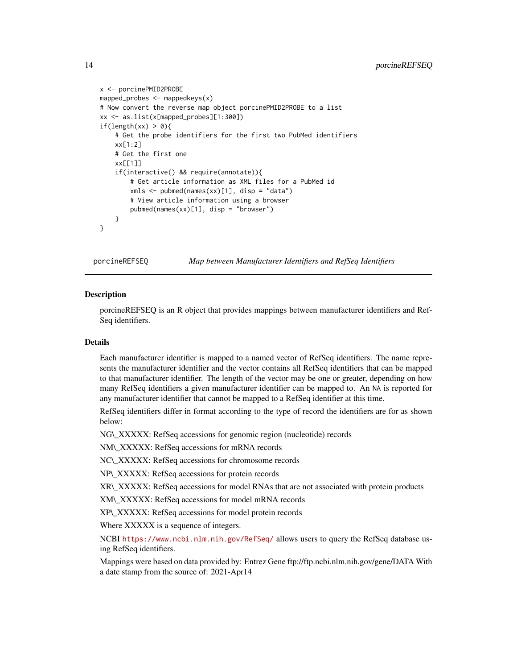```
x <- porcinePMID2PROBE
mapped_probes <- mappedkeys(x)
# Now convert the reverse map object porcinePMID2PROBE to a list
xx <- as.list(x[mapped_probes][1:300])
if(length(xx) > 0){
    # Get the probe identifiers for the first two PubMed identifiers
   xx[1:2]
    # Get the first one
   xx[[1]]
    if(interactive() && require(annotate)){
        # Get article information as XML files for a PubMed id
       xmls <- pubmed(names(xx)[1], disp = "data")
       # View article information using a browser
       pubmed(names(xx)[1], disp = "browser")
   }
}
```
porcineREFSEQ *Map between Manufacturer Identifiers and RefSeq Identifiers*

#### **Description**

porcineREFSEQ is an R object that provides mappings between manufacturer identifiers and Ref-Seq identifiers.

#### Details

Each manufacturer identifier is mapped to a named vector of RefSeq identifiers. The name represents the manufacturer identifier and the vector contains all RefSeq identifiers that can be mapped to that manufacturer identifier. The length of the vector may be one or greater, depending on how many RefSeq identifiers a given manufacturer identifier can be mapped to. An NA is reported for any manufacturer identifier that cannot be mapped to a RefSeq identifier at this time.

RefSeq identifiers differ in format according to the type of record the identifiers are for as shown below:

NG\\_XXXXX: RefSeq accessions for genomic region (nucleotide) records

NM\\_XXXXX: RefSeq accessions for mRNA records

NC\\_XXXXX: RefSeq accessions for chromosome records

NP\\_XXXXX: RefSeq accessions for protein records

XR\\_XXXXX: RefSeq accessions for model RNAs that are not associated with protein products

XM\\_XXXXX: RefSeq accessions for model mRNA records

XP\\_XXXXX: RefSeq accessions for model protein records

Where XXXXX is a sequence of integers.

NCBI <https://www.ncbi.nlm.nih.gov/RefSeq/> allows users to query the RefSeq database using RefSeq identifiers.

Mappings were based on data provided by: Entrez Gene ftp://ftp.ncbi.nlm.nih.gov/gene/DATA With a date stamp from the source of: 2021-Apr14

<span id="page-13-0"></span>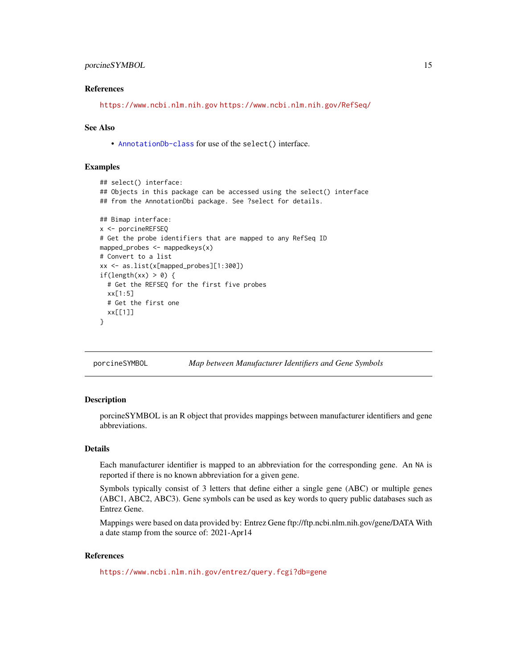## <span id="page-14-0"></span>porcineSYMBOL 15

#### References

<https://www.ncbi.nlm.nih.gov> <https://www.ncbi.nlm.nih.gov/RefSeq/>

#### See Also

• [AnnotationDb-class](#page-0-0) for use of the select() interface.

#### Examples

```
## select() interface:
## Objects in this package can be accessed using the select() interface
## from the AnnotationDbi package. See ?select for details.
## Bimap interface:
x <- porcineREFSEQ
# Get the probe identifiers that are mapped to any RefSeq ID
mapped_probes <- mappedkeys(x)
# Convert to a list
xx <- as.list(x[mapped_probes][1:300])
if(length(xx) > 0) {
  # Get the REFSEQ for the first five probes
  xx[1:5]
  # Get the first one
  xx[[1]]
}
```
porcineSYMBOL *Map between Manufacturer Identifiers and Gene Symbols*

## Description

porcineSYMBOL is an R object that provides mappings between manufacturer identifiers and gene abbreviations.

## **Details**

Each manufacturer identifier is mapped to an abbreviation for the corresponding gene. An NA is reported if there is no known abbreviation for a given gene.

Symbols typically consist of 3 letters that define either a single gene (ABC) or multiple genes (ABC1, ABC2, ABC3). Gene symbols can be used as key words to query public databases such as Entrez Gene.

Mappings were based on data provided by: Entrez Gene ftp://ftp.ncbi.nlm.nih.gov/gene/DATA With a date stamp from the source of: 2021-Apr14

## References

<https://www.ncbi.nlm.nih.gov/entrez/query.fcgi?db=gene>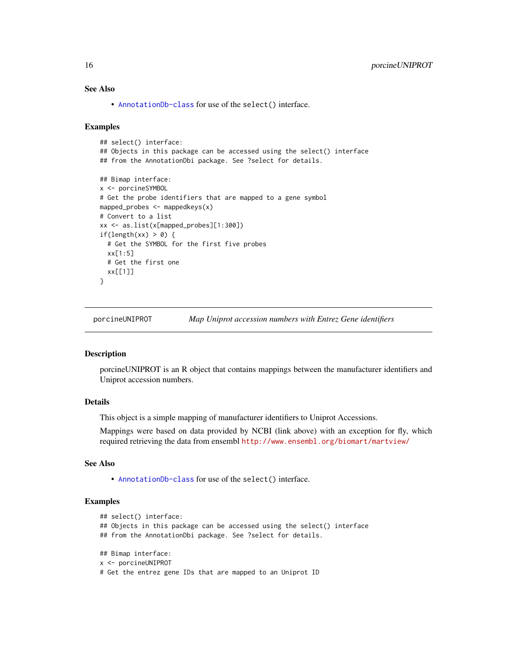## See Also

• [AnnotationDb-class](#page-0-0) for use of the select() interface.

#### Examples

```
## select() interface:
## Objects in this package can be accessed using the select() interface
## from the AnnotationDbi package. See ?select for details.
## Bimap interface:
x <- porcineSYMBOL
# Get the probe identifiers that are mapped to a gene symbol
mapped_probes <- mappedkeys(x)
# Convert to a list
xx <- as.list(x[mapped_probes][1:300])
if(length(xx) > 0) {
  # Get the SYMBOL for the first five probes
  xx[1:5]
  # Get the first one
  xx[[1]]
}
```
porcineUNIPROT *Map Uniprot accession numbers with Entrez Gene identifiers*

#### Description

porcineUNIPROT is an R object that contains mappings between the manufacturer identifiers and Uniprot accession numbers.

## Details

This object is a simple mapping of manufacturer identifiers to Uniprot Accessions.

Mappings were based on data provided by NCBI (link above) with an exception for fly, which required retrieving the data from ensembl <http://www.ensembl.org/biomart/martview/>

#### See Also

• [AnnotationDb-class](#page-0-0) for use of the select() interface.

```
## select() interface:
## Objects in this package can be accessed using the select() interface
## from the AnnotationDbi package. See ?select for details.
## Bimap interface:
x <- porcineUNIPROT
# Get the entrez gene IDs that are mapped to an Uniprot ID
```
<span id="page-15-0"></span>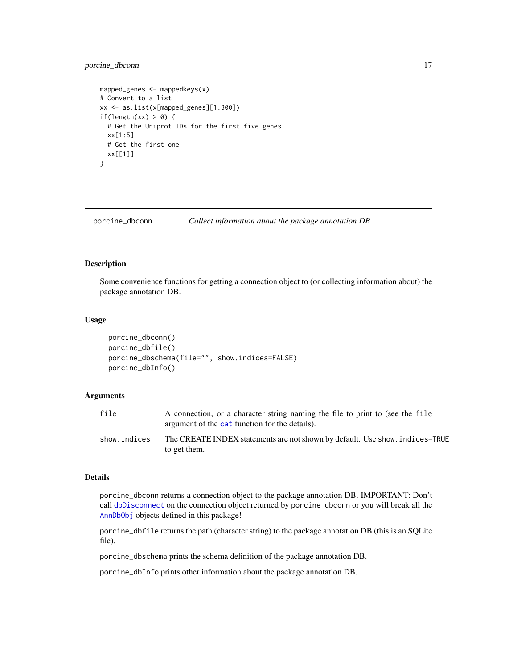## <span id="page-16-0"></span>porcine\_dbconn 17

```
mapped_genes <- mappedkeys(x)
# Convert to a list
xx <- as.list(x[mapped_genes][1:300])
if(length(xx) > 0) {
  # Get the Uniprot IDs for the first five genes
  xx[1:5]
  # Get the first one
  xx[[1]]
}
```

```
porcine_dbconn Collect information about the package annotation DB
```
## Description

Some convenience functions for getting a connection object to (or collecting information about) the package annotation DB.

## Usage

```
porcine_dbconn()
porcine_dbfile()
porcine_dbschema(file="", show.indices=FALSE)
porcine_dbInfo()
```
### Arguments

| file         | A connection, or a character string naming the file to print to (see the file<br>argument of the cat function for the details). |
|--------------|---------------------------------------------------------------------------------------------------------------------------------|
| show.indices | The CREATE INDEX statements are not shown by default. Use show, indices=TRUE<br>to get them.                                    |

#### Details

porcine\_dbconn returns a connection object to the package annotation DB. IMPORTANT: Don't call [dbDisconnect](#page-0-0) on the connection object returned by porcine\_dbconn or you will break all the [AnnDbObj](#page-0-0) objects defined in this package!

porcine\_dbfile returns the path (character string) to the package annotation DB (this is an SQLite file).

porcine\_dbschema prints the schema definition of the package annotation DB.

porcine\_dbInfo prints other information about the package annotation DB.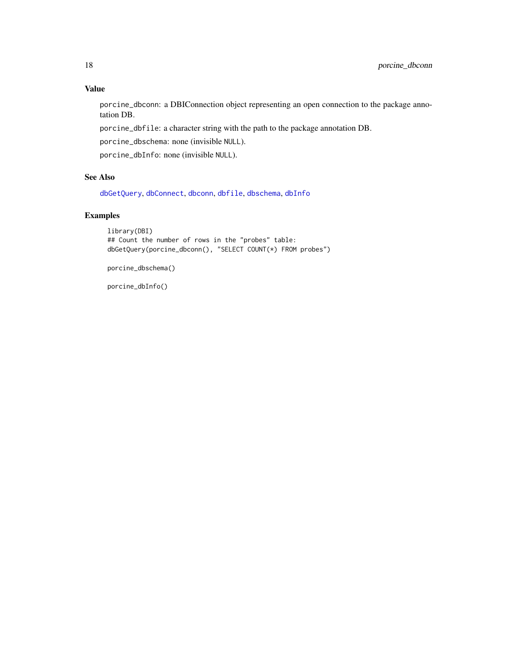## <span id="page-17-0"></span>Value

porcine\_dbconn: a DBIConnection object representing an open connection to the package annotation DB.

porcine\_dbfile: a character string with the path to the package annotation DB.

porcine\_dbschema: none (invisible NULL).

porcine\_dbInfo: none (invisible NULL).

## See Also

[dbGetQuery](#page-0-0), [dbConnect](#page-0-0), [dbconn](#page-0-0), [dbfile](#page-0-0), [dbschema](#page-0-0), [dbInfo](#page-0-0)

## Examples

```
library(DBI)
## Count the number of rows in the "probes" table:
dbGetQuery(porcine_dbconn(), "SELECT COUNT(*) FROM probes")
```
porcine\_dbschema()

porcine\_dbInfo()